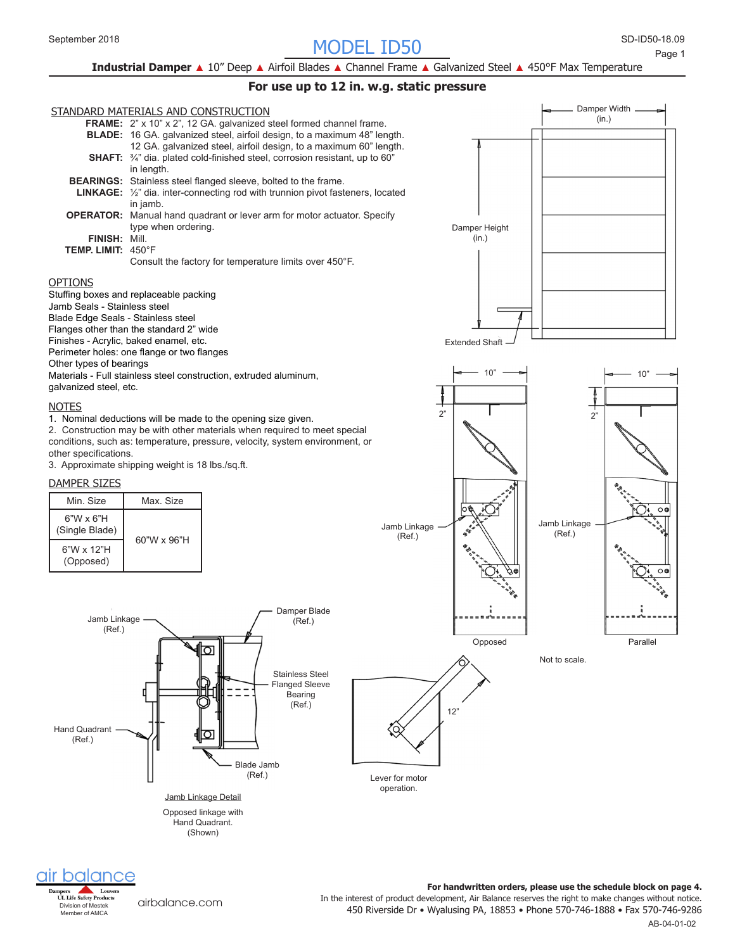# SD-ID50- MODEL ID50 September 2018 18.09

**Industrial Damper** ▲ 10" Deep ▲ Airfoil Blades ▲ Channel Frame ▲ Galvanized Steel ▲ 450°F Max Temperature

### **For use up to 12 in. w.g. static pressure**





[airbalance.com](http://airbalance.com)

450 Riverside Dr • Wyalusing PA, 18853 • Phone 570-746-1888 • Fax 570-746-9286 In the interest of product development, Air Balance reserves the right to make changes without notice. **For handwritten orders, please use the schedule block on page 4.**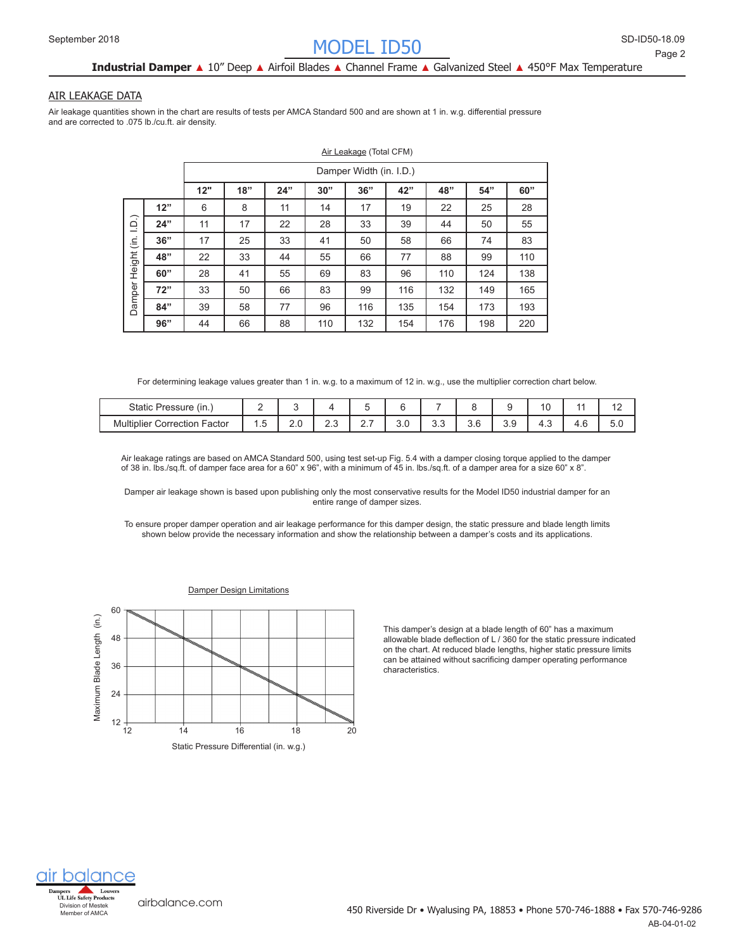# **Industrial Damper** ▲ 10" Deep ▲ Airfoil Blades ▲ Channel Frame ▲ Galvanized Steel ▲ 450°F Max Temperature

#### AIR LEAKAGE DATA

Air leakage quantities shown in the chart are results of tests per AMCA Standard 500 and are shown at 1 in. w.g. differential pressure and are corrected to .075 lb./cu.ft. air density.

|                                                       |     | Air Leakage (Total CFM)                                     |    |    |     |     |     |     |     |     |  |  |  |  |  |
|-------------------------------------------------------|-----|-------------------------------------------------------------|----|----|-----|-----|-----|-----|-----|-----|--|--|--|--|--|
|                                                       |     | Damper Width (in. I.D.)                                     |    |    |     |     |     |     |     |     |  |  |  |  |  |
|                                                       |     | 12"<br>18"<br>36"<br>24"<br>42"<br>48"<br>60"<br>30"<br>54" |    |    |     |     |     |     |     |     |  |  |  |  |  |
|                                                       | 12" | 6                                                           | 8  | 11 | 14  | 17  | 19  | 22  | 25  | 28  |  |  |  |  |  |
| $\widehat{D}$ .<br>$\dot{\equiv}$<br>Height<br>Damper | 24" | 11                                                          | 17 | 22 | 28  | 33  | 39  | 44  | 50  | 55  |  |  |  |  |  |
|                                                       | 36" | 17                                                          | 25 | 33 | 41  | 50  | 58  | 66  | 74  | 83  |  |  |  |  |  |
|                                                       | 48" | 22                                                          | 33 | 44 | 55  | 66  | 77  | 88  | 99  | 110 |  |  |  |  |  |
|                                                       | 60" | 28                                                          | 41 | 55 | 69  | 83  | 96  | 110 | 124 | 138 |  |  |  |  |  |
|                                                       | 72" | 33                                                          | 50 | 66 | 83  | 99  | 116 | 132 | 149 | 165 |  |  |  |  |  |
|                                                       | 84" | 39                                                          | 58 | 77 | 96  | 116 | 135 | 154 | 173 | 193 |  |  |  |  |  |
|                                                       | 96" | 44                                                          | 66 | 88 | 110 | 132 | 154 | 176 | 198 | 220 |  |  |  |  |  |

For determining leakage values greater than 1 in. w.g. to a maximum of 12 in. w.g., use the multiplier correction chart below.

| $\sim$ (in.,<br>Static Pr<br>Pressure                                 |     |          |               |          |     |               |               |            | $\overline{A}$<br>U |            | $\overline{ }$<br>$\sim$ |
|-----------------------------------------------------------------------|-----|----------|---------------|----------|-----|---------------|---------------|------------|---------------------|------------|--------------------------|
| <b>Multiplier</b><br>$\overline{\phantom{0}}$<br>Factor<br>Correction | . ت | ົ<br>Z.U | $\sim$<br>ے.ے | <u>.</u> | U.U | $\sim$<br>ບ.ບ | $\sim$<br>3.6 | . .<br>◡.◡ | −.                  | <b>T.V</b> | 5.0                      |

Air leakage ratings are based on AMCA Standard 500, using test set-up Fig. 5.4 with a damper closing torque applied to the damper of 38 in. lbs./sq.ft. of damper face area for a 60" x 96", with a minimum of 45 in. lbs./sq.ft. of a damper area for a size 60" x 8".

Damper air leakage shown is based upon publishing only the most conservative results for the Model ID50 industrial damper for an entire range of damper sizes.

To ensure proper damper operation and air leakage performance for this damper design, the static pressure and blade length limits shown below provide the necessary information and show the relationship between a damper's costs and its applications.



This damper's design at a blade length of 60" has a maximum allowable blade deflection of L / 360 for the static pressure indicated on the chart. At reduced blade lengths, higher static pressure limits can be attained without sacrificing damper operating performance characteristics.

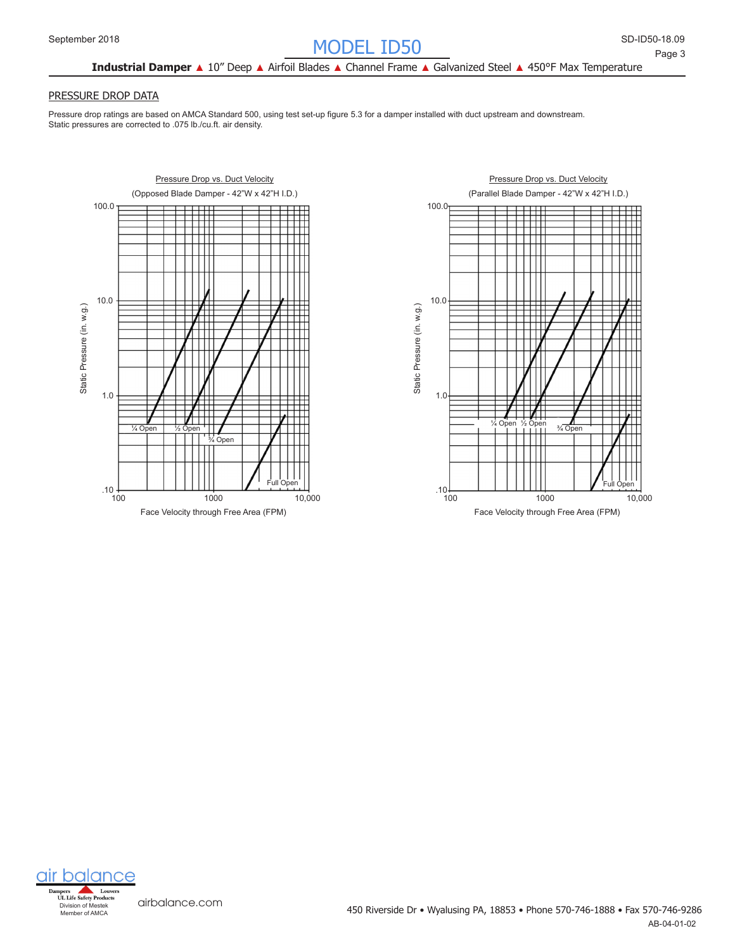## **Industrial Damper** ▲ 10" Deep ▲ Airfoil Blades ▲ Channel Frame ▲ Galvanized Steel ▲ 450°F Max Temperature

#### PRESSURE DROP DATA

Pressure drop ratings are based on AMCA Standard 500, using test set-up figure 5.3 for a damper installed with duct upstream and downstream. Static pressures are corrected to .075 lb./cu.ft. air density.